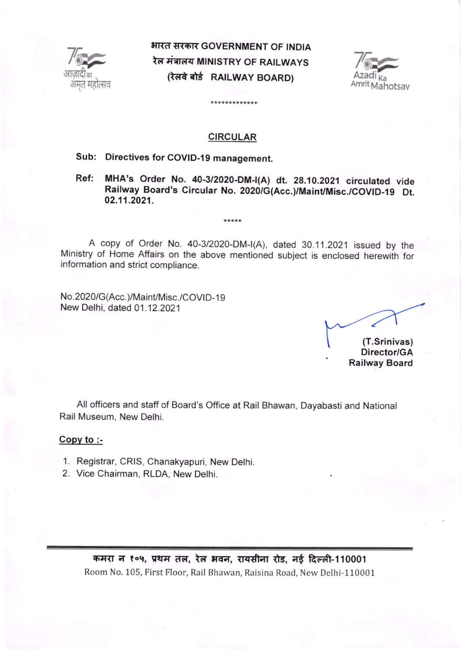

uqdc6m Amnt भारत सरकार GOVERNMENT OF INDIA रेल मंत्रालय MINISTRY OF RAILWAYS (रेलवे बोर्ड RAILWAY BOARD)



### CIRCULAR

\*\*\*\*\*\*\*\*\*\*\*\*\*

# Sub: Directives for COVID-19 management.

Ref: MHA's Order No. 40-3/2020-DM-|(A) dt. 28.10.2021 circutated vide Railway Board's Circular No. 2020/G(Acc.)/MainUMisc./COVID-19 Dt. 02.11.2021.

A copy of Order No. 40-3/2020-DM-I(A), dated 30.11.2021 issued by the Ministry of Home Affairs on the above mentioned subject is enclosed herewiih for information and strict compliance.

 $***$ \*\*

No.2020/G(Acc.)/Maint/Misc./COVID-19 New Delhi, dated 01.12.2021

(T.Srinivas)

Director/GA Railway Board

All officers and staff of Board's Office at Rail Bhawan, Dayabasti and National Rail Museum, New Delhi.

#### Copy to :-

- 1. Registrar, CRIS, Chanakyapuri, New Delhi
- 2. Vice Chairman, RLDA, New Delhi.

कमरा न १०५, प्रथम तल, रेल भवन, रायसीना रोड, नई दिल्ली-110001 Room No. 105, First Floor, Rail Bhawan, Raisina Road, New Delhi-110001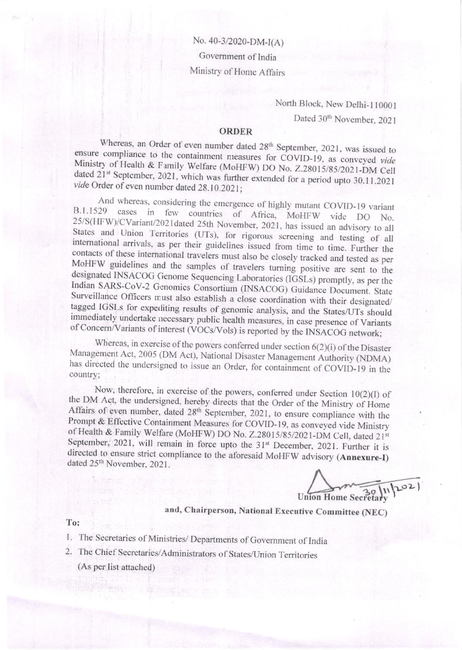No. 40-3/2020-DM-I(A) Government of India Ministry of Home Affairs

> North Block, New Delhi-110001 Dated 30<sup>th</sup> November, 2021

## **ORDER**

Whereas, an Order of even number dated 28<sup>th</sup> September, 2021, was issued to ensure compliance to the containment measures for COVID-19, as conveyed vide Ministry of Health & Family Welfare (MoHFW) DO No. Z.28015/85/2021-DM Cell dated 21<sup>st</sup> September, 2021, which was further extended for a period upto 30.11.2021 vide Order of even number dated 28.10.2021;

And whereas, considering the emergence of highly mutant COVID-19 variant cases in few countries of Africa, MoHFW vide DO No. B.1.1529 25/S(HFW)/CVariant/2021dated 25th November, 2021, has issued an advisory to all States and Union Territories (UTs), for rigorous screening and testing of all international arrivals, as per their guidelines issued from time to time. Further the contacts of these international travelers must also be closely tracked and tested as per MoHFW guidelines and the samples of travelers turning positive are sent to the designated INSACOG Genome Sequencing Laboratories (IGSLs) promptly, as per the Indian SARS-CoV-2 Genomics Consortium (INSACOG) Guidance Document. State Surveillance Officers must also establish a close coordination with their designated/ tagged IGSLs for expediting results of genomic analysis, and the States/UTs should immediately undertake necessary public health measures, in case presence of Variants of Concern/Variants of interest (VOCs/Vols) is reported by the INSACOG network;

Whereas, in exercise of the powers conferred under section  $6(2)(i)$  of the Disaster Management Act, 2005 (DM Act), National Disaster Management Authority (NDMA) has directed the undersigned to issue an Order, for containment of COVID-19 in the country;

Now, therefore, in exercise of the powers, conferred under Section  $10(2)(1)$  of the DM Act, the undersigned, hereby directs that the Order of the Ministry of Home Affairs of even number, dated 28<sup>th</sup> September, 2021, to ensure compliance with the Prompt & Effective Containment Measures for COVID-19, as conveyed vide Ministry of Health & Family Welfare (MoHFW) DO No. Z.28015/85/2021-DM Cell, dated 21st September, 2021, will remain in force upto the 31<sup>st</sup> December, 2021. Further it is directed to ensure strict compliance to the aforesaid MoHFW advisory (Annexure-I) dated 25th November, 2021.

 $lnh^{02}$ **Union Home Secretary** 

and, Chairperson, National Executive Committee (NEC)

To:

- 1. The Secretaries of Ministries/ Departments of Government of India
- 2. The Chief Secretaries/Administrators of States/Union Territories
	- (As per list attached)